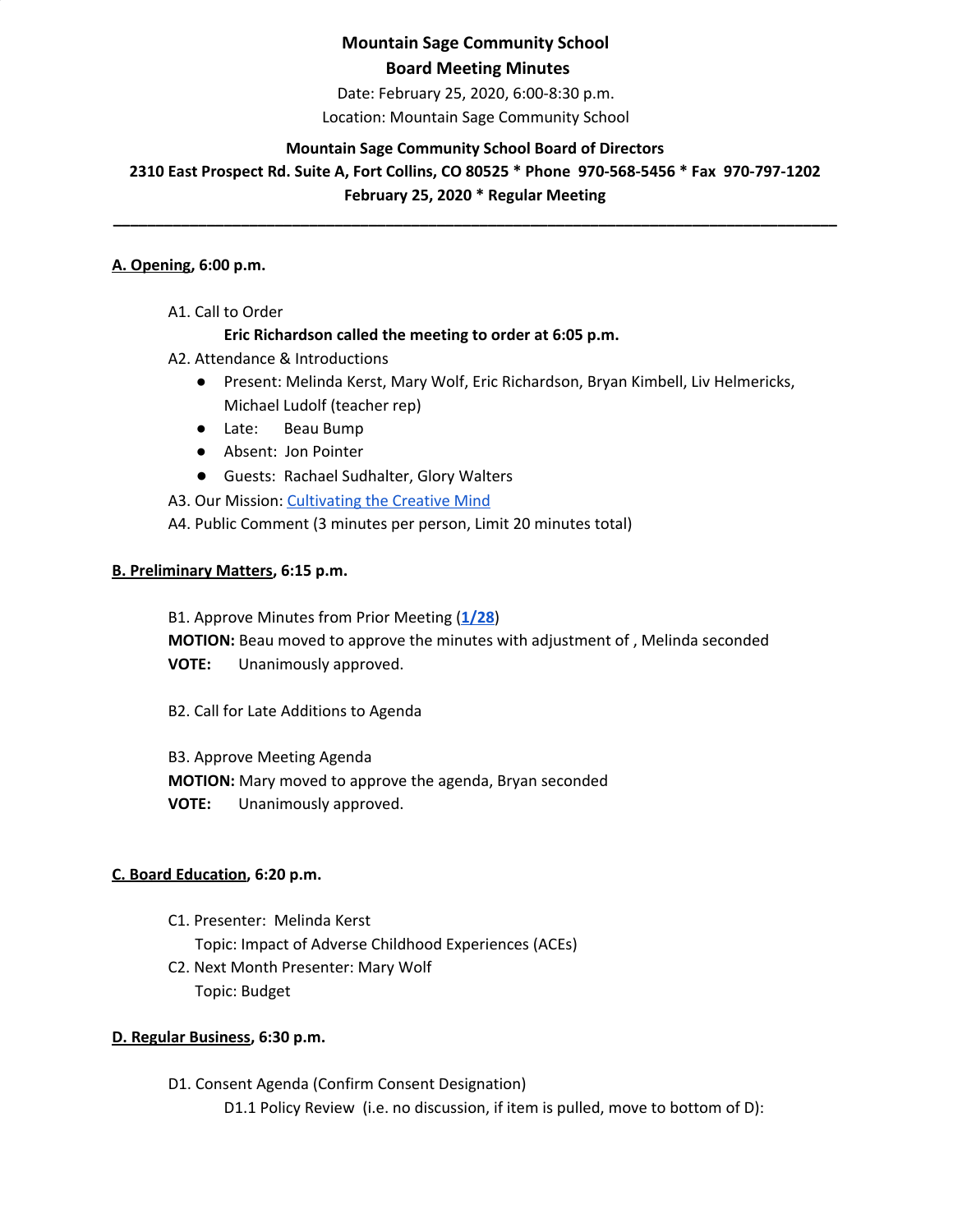Date: February 25, 2020, 6:00-8:30 p.m.

Location: Mountain Sage Community School

### **Mountain Sage Community School Board of Directors**

**2310 East Prospect Rd. Suite A, Fort Collins, CO 80525 \* Phone 970-568-5456 \* Fax 970-797-1202 February 25, 2020 \* Regular Meeting**

**\_\_\_\_\_\_\_\_\_\_\_\_\_\_\_\_\_\_\_\_\_\_\_\_\_\_\_\_\_\_\_\_\_\_\_\_\_\_\_\_\_\_\_\_\_\_\_\_\_\_\_\_\_\_\_\_\_\_\_\_\_\_\_\_\_\_\_\_\_\_\_\_\_\_\_\_\_\_\_\_\_\_\_\_\_**

#### **A. Opening, 6:00 p.m.**

A1. Call to Order

### **Eric Richardson called the meeting to order at 6:05 p.m.**

- A2. Attendance & Introductions
	- Present: Melinda Kerst, Mary Wolf, Eric Richardson, Bryan Kimbell, Liv Helmericks, Michael Ludolf (teacher rep)
	- Late: Beau Bump
	- Absent: Jon Pointer
	- Guests: Rachael Sudhalter, Glory Walters

A3. Our Mission: [Cultivating](http://www.mountainsage.org/mission-and-vision.html) the Creative Mind

A4. Public Comment (3 minutes per person, Limit 20 minutes total)

### **B. Preliminary Matters, 6:15 p.m.**

B1. Approve Minutes from Prior Meeting (**[1/28](https://docs.google.com/document/d/1qbYUySNchiEofAY7GlH09oUU1wb4Nr0g2gvsnkru_Fc)**) **MOTION:** Beau moved to approve the minutes with adjustment of , Melinda seconded

**VOTE:** Unanimously approved.

B2. Call for Late Additions to Agenda

B3. Approve Meeting Agenda **MOTION:** Mary moved to approve the agenda, Bryan seconded **VOTE:** Unanimously approved.

### **C. Board Education, 6:20 p.m.**

C1. Presenter: Melinda Kerst Topic: Impact of Adverse Childhood Experiences (ACEs) C2. Next Month Presenter: Mary Wolf Topic: Budget

### **D. Regular Business, 6:30 p.m.**

D1. Consent Agenda (Confirm Consent Designation) D1.1 Policy Review (i.e. no discussion, if item is pulled, move to bottom of D):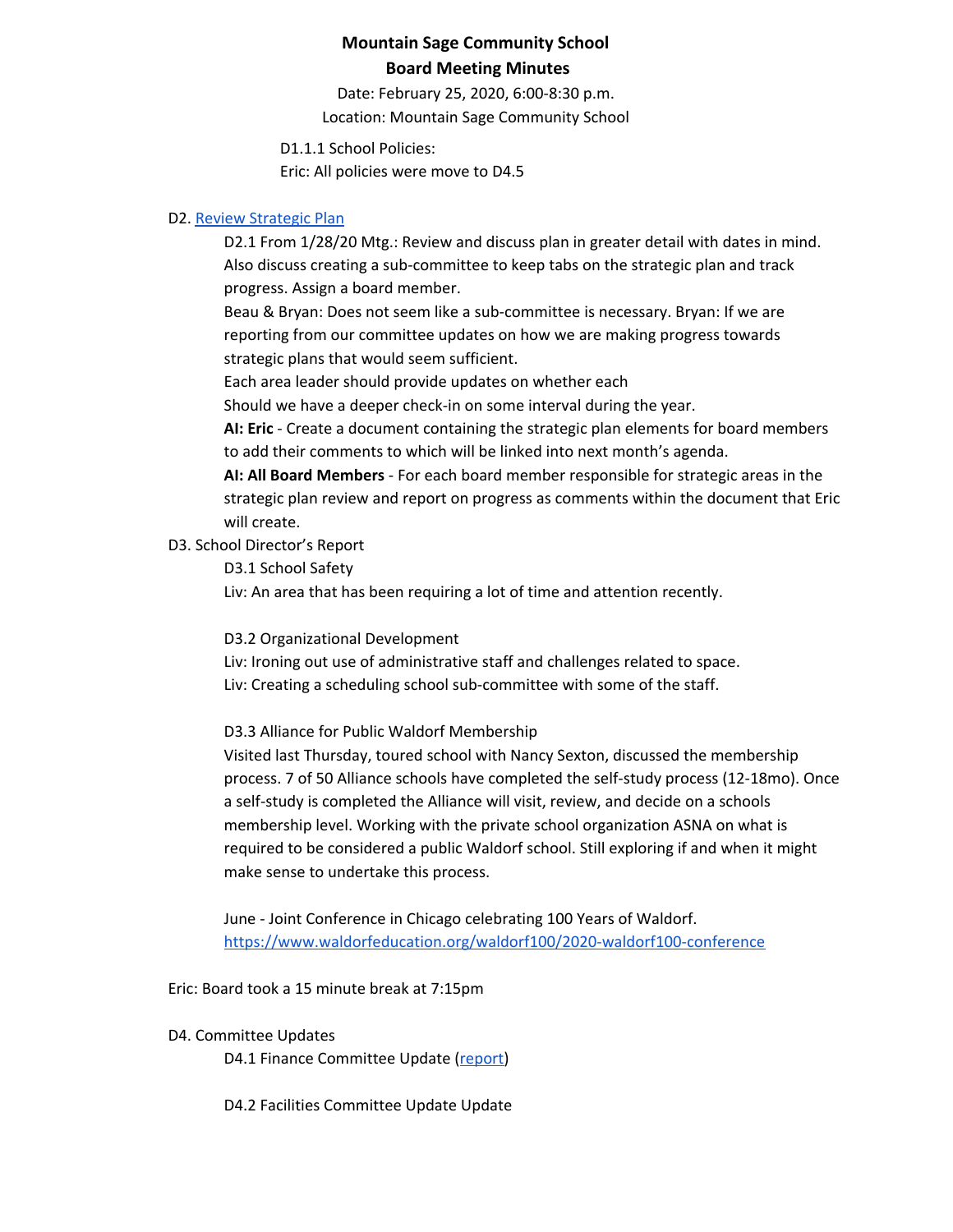Date: February 25, 2020, 6:00-8:30 p.m. Location: Mountain Sage Community School

D1.1.1 School Policies:

Eric: All policies were move to D4.5

### D2. Review [Strategic](https://drive.google.com/file/d/1bIEAL8S8NnDx9PPJRR79h1dLsXFMCh-t/view?usp=sharing) Plan

D2.1 From 1/28/20 Mtg.: Review and discuss plan in greater detail with dates in mind. Also discuss creating a sub-committee to keep tabs on the strategic plan and track progress. Assign a board member.

Beau & Bryan: Does not seem like a sub-committee is necessary. Bryan: If we are reporting from our committee updates on how we are making progress towards strategic plans that would seem sufficient.

Each area leader should provide updates on whether each

Should we have a deeper check-in on some interval during the year.

**AI: Eric** - Create a document containing the strategic plan elements for board members to add their comments to which will be linked into next month's agenda.

**AI: All Board Members** - For each board member responsible for strategic areas in the strategic plan review and report on progress as comments within the document that Eric will create.

#### D3. School Director's Report

D3.1 School Safety

Liv: An area that has been requiring a lot of time and attention recently.

D3.2 Organizational Development

Liv: Ironing out use of administrative staff and challenges related to space. Liv: Creating a scheduling school sub-committee with some of the staff.

D3.3 Alliance for Public Waldorf Membership

Visited last Thursday, toured school with Nancy Sexton, discussed the membership process. 7 of 50 Alliance schools have completed the self-study process (12-18mo). Once a self-study is completed the Alliance will visit, review, and decide on a schools membership level. Working with the private school organization ASNA on what is required to be considered a public Waldorf school. Still exploring if and when it might make sense to undertake this process.

June - Joint Conference in Chicago celebrating 100 Years of Waldorf. <https://www.waldorfeducation.org/waldorf100/2020-waldorf100-conference>

Eric: Board took a 15 minute break at 7:15pm

#### D4. Committee Updates

D4.1 Finance Committee Update ([report\)](https://drive.google.com/open?id=1qgpApbHD3p7cueDy3IesW5lRld4soAaGRzanFYJjxaI)

D4.2 Facilities Committee Update Update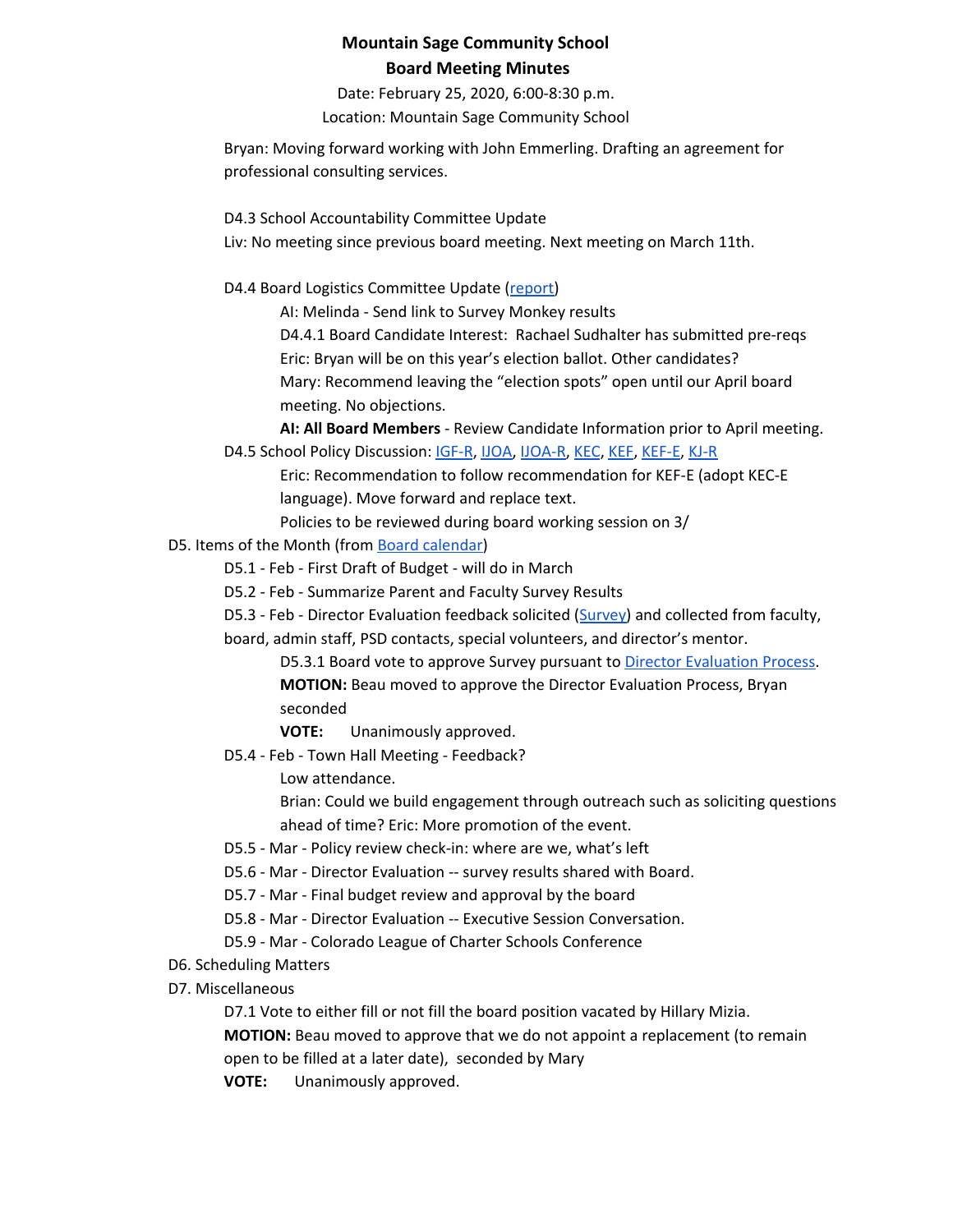Date: February 25, 2020, 6:00-8:30 p.m. Location: Mountain Sage Community School

Bryan: Moving forward working with John Emmerling. Drafting an agreement for professional consulting services.

D4.3 School Accountability Committee Update

Liv: No meeting since previous board meeting. Next meeting on March 11th.

D4.4 Board Logistics Committee Update ([report](https://docs.google.com/document/d/1zEFiwrOnUdYhrpQ_ny0fmi_Ot2oJ8BKDkrCUU7Bh1Ds/edit?usp=sharing))

AI: Melinda - Send link to Survey Monkey results D4.4.1 Board Candidate Interest: Rachael Sudhalter has submitted pre-reqs Eric: Bryan will be on this year's election ballot. Other candidates? Mary: Recommend leaving the "election spots" open until our April board meeting. No objections.

**AI: All Board Members** - Review Candidate Information prior to April meeting. D4.5 School Policy Discussion: [IGF-R](https://drive.google.com/open?id=1miaI655qSVx0mkoge_Ogf0wfQe_WHysQOHWy3E8vP_4), [IJOA](https://drive.google.com/open?id=127iMJeasFSKC9cgptf53Po-Lt65l7qPxlFaFTCDx8Bc), [IJOA-R,](https://drive.google.com/open?id=10D8cL9gSGsZ4qw0McfOHYMYGB72Y2tjHtReRjqjzPfw) [KEC,](https://drive.google.com/open?id=108m23bf4wN-nGySmWFhaqPyzr6OifhWuoCBYjYqfRoE) [KEF](https://drive.google.com/open?id=1PkGD_XBOAP-jL2JqiAmeD62EL9Bty99a5dJvoddx_ho), [KEF-E](https://drive.google.com/open?id=1gyWLSVji-NgBz--ucR7Yg7-mEroi6UyBq1-j4_SS3as), [KJ-R](https://docs.google.com/document/d/1Y4ZRTfhnfaBxuilXfk0sCEiIzcjzBLQFw72AJVi7ZmQ)

Eric: Recommendation to follow recommendation for KEF-E (adopt KEC-E language). Move forward and replace text.

Policies to be reviewed during board working session on 3/

### D5. Items of the Month (from Board [calendar](https://docs.google.com/document/d/12S6s-qevYMsnj8Cr2yw6uMO7S7hL3gz2oKvXZk5ZndQ/edit?usp=sharing))

D5.1 - Feb - First Draft of Budget - will do in March

D5.2 - Feb - Summarize Parent and Faculty Survey Results

D5.3 - Feb - Director Evaluation feedback solicited ([Survey\)](https://docs.google.com/forms/d/1PVNUlIp4VGteje_qcV2eTH0QZbTmpTeMhtKWTywALRk/edit) and collected from faculty,

board, admin staff, PSD contacts, special volunteers, and director's mentor.

D5.3.1 Board vote to approve Survey pursuant to Director [Evaluation](https://docs.google.com/document/d/1UdgmXYE3posfh2bNuV6KAWxQvELogqQaY_AxWWZ-ydc/edit) Process. **MOTION:** Beau moved to approve the Director Evaluation Process, Bryan seconded

**VOTE:** Unanimously approved.

D5.4 - Feb - Town Hall Meeting - Feedback?

Low attendance.

Brian: Could we build engagement through outreach such as soliciting questions ahead of time? Eric: More promotion of the event.

- D5.5 Mar Policy review check-in: where are we, what's left
- D5.6 Mar Director Evaluation -- survey results shared with Board.
- D5.7 Mar Final budget review and approval by the board
- D5.8 Mar Director Evaluation -- Executive Session Conversation.

D5.9 - Mar - Colorado League of Charter Schools Conference

- D6. Scheduling Matters
- D7. Miscellaneous

D7.1 Vote to either fill or not fill the board position vacated by Hillary Mizia.

**MOTION:** Beau moved to approve that we do not appoint a replacement (to remain open to be filled at a later date), seconded by Mary

**VOTE:** Unanimously approved.